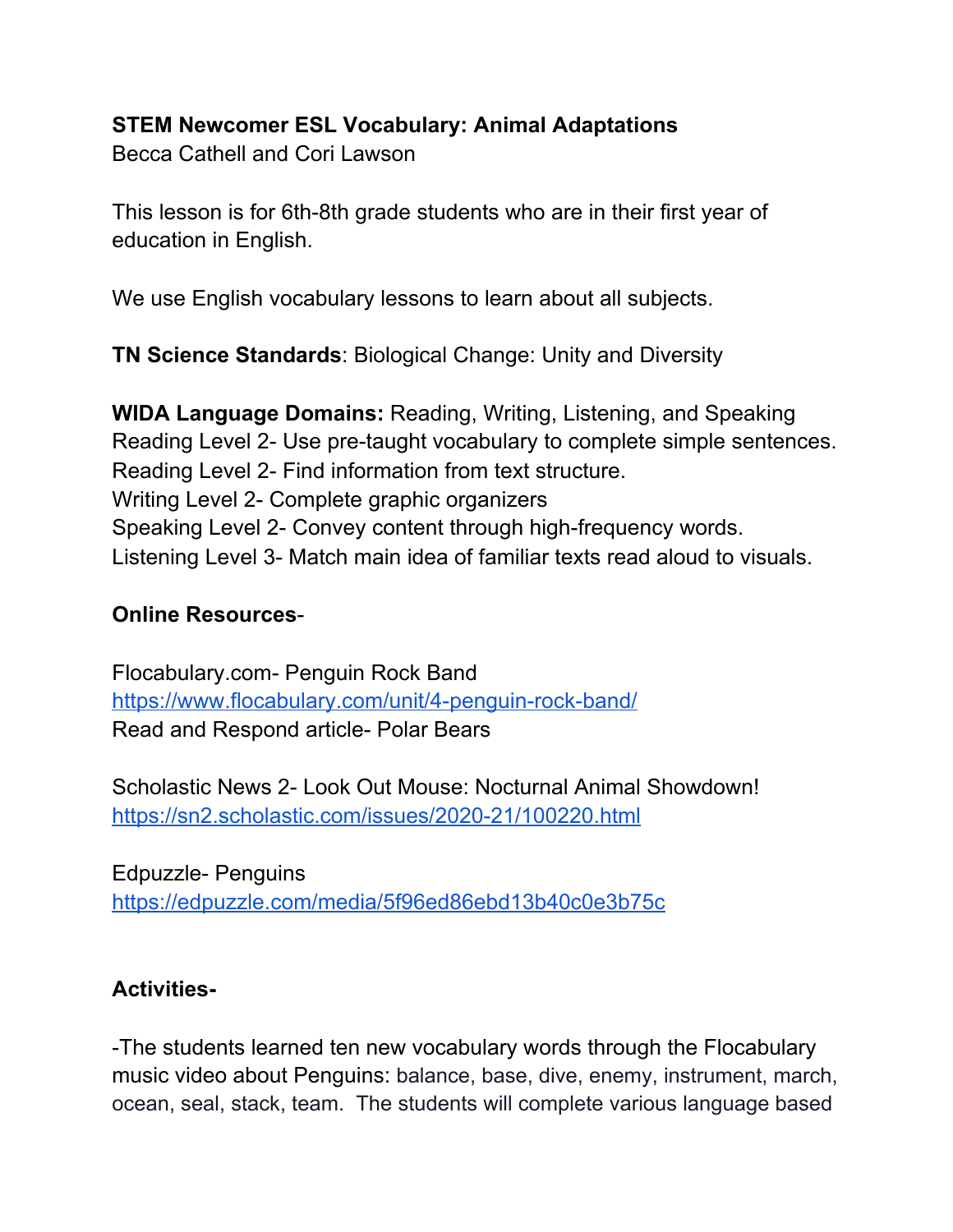## **STEM Newcomer ESL Vocabulary: Animal Adaptations**

Becca Cathell and Cori Lawson

This lesson is for 6th-8th grade students who are in their first year of education in English.

We use English vocabulary lessons to learn about all subjects.

**TN Science Standards**: Biological Change: Unity and Diversity

**WIDA Language Domains:** Reading, Writing, Listening, and Speaking Reading Level 2- Use pre-taught vocabulary to complete simple sentences. Reading Level 2- Find information from text structure. Writing Level 2- Complete graphic organizers Speaking Level 2- Convey content through high-frequency words. Listening Level 3- Match main idea of familiar texts read aloud to visuals.

## **Online Resources**-

Flocabulary.com- Penguin Rock Band <https://www.flocabulary.com/unit/4-penguin-rock-band/> Read and Respond article- Polar Bears

Scholastic News 2- Look Out Mouse: Nocturnal Animal Showdown! <https://sn2.scholastic.com/issues/2020-21/100220.html>

Edpuzzle- Penguins <https://edpuzzle.com/media/5f96ed86ebd13b40c0e3b75c>

## **Activities-**

-The students learned ten new vocabulary words through the Flocabulary music video about Penguins: balance, base, dive, enemy, instrument, march, ocean, seal, stack, team. The students will complete various language based